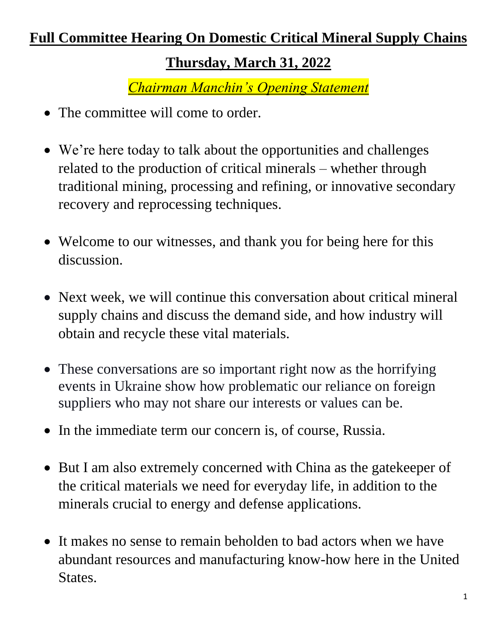## **Full Committee Hearing On Domestic Critical Mineral Supply Chains**

## **Thursday, March 31, 2022**

*Chairman Manchin's Opening Statement*

- The committee will come to order.
- We're here today to talk about the opportunities and challenges related to the production of critical minerals – whether through traditional mining, processing and refining, or innovative secondary recovery and reprocessing techniques.
- Welcome to our witnesses, and thank you for being here for this discussion.
- Next week, we will continue this conversation about critical mineral supply chains and discuss the demand side, and how industry will obtain and recycle these vital materials.
- These conversations are so important right now as the horrifying events in Ukraine show how problematic our reliance on foreign suppliers who may not share our interests or values can be.
- In the immediate term our concern is, of course, Russia.
- But I am also extremely concerned with China as the gate keeper of the critical materials we need for everyday life, in addition to the minerals crucial to energy and defense applications.
- It makes no sense to remain beholden to bad actors when we have abundant resources and manufacturing know-how here in the United States.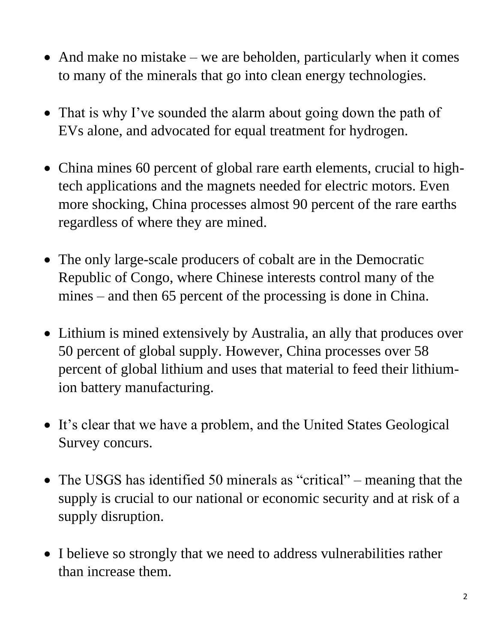- And make no mistake we are beholden, particularly when it comes to many of the minerals that go into clean energy technologies.
- That is why I've sounded the alarm about going down the path of EVs alone, and advocated for equal treatment for hydrogen.
- China mines 60 percent of global rare earth elements, crucial to hightech applications and the magnets needed for electric motors. Even more shocking, China processes almost 90 percent of the rare earths regardless of where they are mined.
- The only large-scale producers of cobalt are in the Democratic Republic of Congo, where Chinese interests control many of the mines – and then 65 percent of the processing is done in China.
- Lithium is mined extensively by Australia, an ally that produces over 50 percent of global supply. However, China processes over 58 percent of global lithium and uses that material to feed their lithiumion battery manufacturing.
- It's clear that we have a problem, and the United States Geological Survey concurs.
- The USGS has identified 50 minerals as "critical" meaning that the supply is crucial to our national or economic security and at risk of a supply disruption.
- I believe so strongly that we need to address vulnerabilities rather than increase them.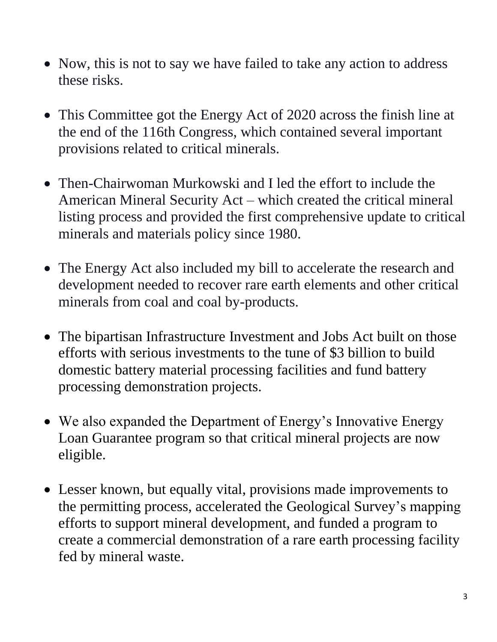- Now, this is not to say we have failed to take any action to address these risks.
- This Committee got the Energy Act of 2020 across the finish line at the end of the 116th Congress, which contained several important provisions related to critical minerals.
- Then-Chairwoman Murkowski and I led the effort to include the American Mineral Security Act – which created the critical mineral listing process and provided the first comprehensive update to critical minerals and materials policy since 1980.
- The Energy Act also included my bill to accelerate the research and development needed to recover rare earth elements and other critical minerals from coal and coal by-products.
- The bipartisan Infrastructure Investment and Jobs Act built on those efforts with serious investments to the tune of \$3 billion to build domestic battery material processing facilities and fund battery processing demonstration projects.
- We also expanded the Department of Energy's Innovative Energy Loan Guarantee program so that critical mineral projects are now eligible.
- Lesser known, but equally vital, provisions made improvements to the permitting process, accelerated the Geological Survey's mapping efforts to support mineral development, and funded a program to create a commercial demonstration of a rare earth processing facility fed by mineral waste.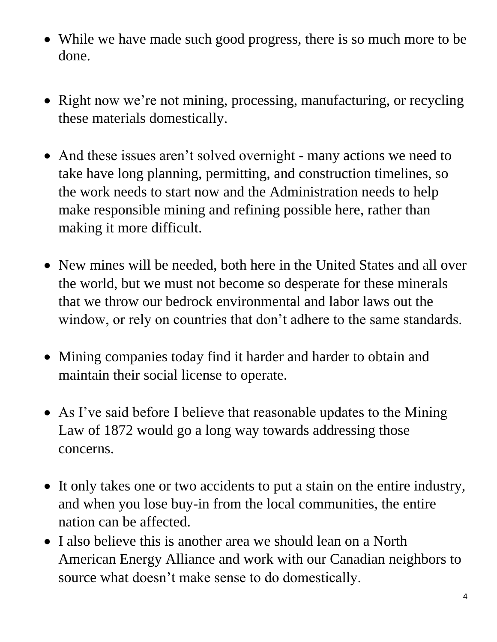- While we have made such good progress, there is so much more to be done.
- Right now we're not mining, processing, manufacturing, or recycling these materials domestically.
- And these issues aren't solved overnight many actions we need to take have long planning, permitting, and construction timelines, so the work needs to start now and the Administration needs to help make responsible mining and refining possible here, rather than making it more difficult.
- New mines will be needed, both here in the United States and all over the world, but we must not become so desperate for these minerals that we throw our bedrock environmental and labor laws out the window, or rely on countries that don't adhere to the same standards.
- Mining companies today find it harder and harder to obtain and maintain their social license to operate.
- As I've said before I believe that reasonable updates to the Mining Law of 1872 would go a long way towards addressing those concerns.
- It only takes one or two accidents to put a stain on the entire industry, and when you lose buy-in from the local communities, the entire nation can be affected.
- I also believe this is another area we should lean on a North American Energy Alliance and work with our Canadian neighbors to source what doesn't make sense to do domestically.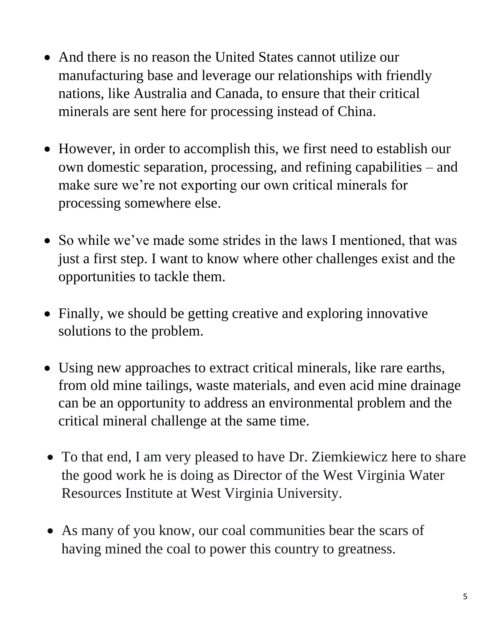- And there is no reason the United States cannot utilize our manufacturing base and leverage our relationships with friendly nations, like Australia and Canada, to ensure that their critical minerals are sent here for processing instead of China.
- However, in order to accomplish this, we first need to establish our own domestic separation, processing, and refining capabilities – and make sure we're not exporting our own critical minerals for processing somewhere else.
- So while we've made some strides in the laws I mentioned, that was just a first step. I want to know where other challenges exist and the opportunities to tackle them.
- Finally, we should be getting creative and exploring innovative solutions to the problem.
- Using new approaches to extract critical minerals, like rare earths, from old mine tailings, waste materials, and even acid mine drainage can be an opportunity to address an environmental problem and the critical mineral challenge at the same time.
- To that end, I am very pleased to have Dr. Ziemkiewicz here to share the good work he is doing as Director of the West Virginia Water Resources Institute at West Virginia University.
- As many of you know, our coal communities bear the scars of having mined the coal to power this country to greatness.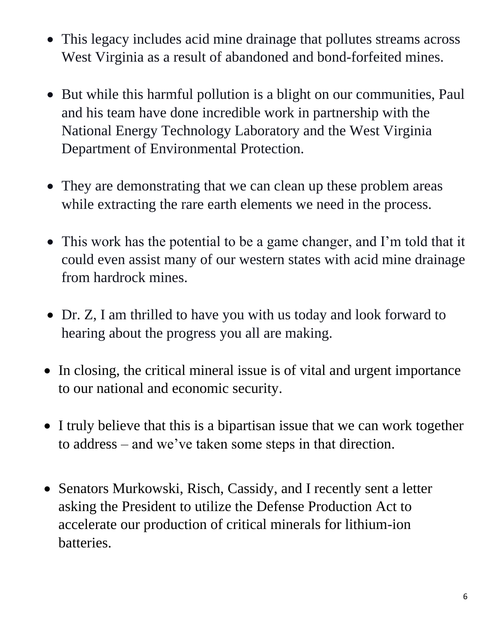- This legacy includes acid mine drainage that pollutes streams across West Virginia as a result of abandoned and bond-forfeited mines.
- But while this harmful pollution is a blight on our communities, Paul and his team have done incredible work in partnership with the National Energy Technology Laboratory and the West Virginia Department of Environmental Protection.
- They are demonstrating that we can clean up these problem areas while extracting the rare earth elements we need in the process.
- This work has the potential to be a game changer, and I'm told that it could even assist many of our western states with acid mine drainage from hardrock mines.
- Dr. Z, I am thrilled to have you with us today and look forward to hearing about the progress you all are making.
- In closing, the critical mineral issue is of vital and urgent importance to our national and economic security.
- I truly believe that this is a bipartisan issue that we can work together to address – and we've taken some steps in that direction.
- Senators Murkowski, Risch, Cassidy, and I recently sent a letter asking the President to utilize the Defense Production Act to accelerate our production of critical minerals for lithium-ion batteries.